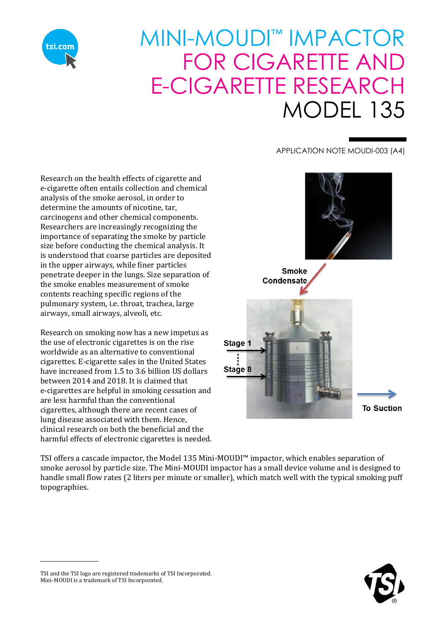

## MINI-MOUDI™ IMPACTOR FOR CIGARETTE AND E-CIGARETTE RESEARCH MODEL 135

APPLICATION NOTE MOUDI-003 (A4)

Research on the health effects of cigarette and e-cigarette often entails collection and chemical analysis of the smoke aerosol, in order to determine the amounts of nicotine, tar, carcinogens and other chemical components. Researchers are increasingly recognizing the importance of separating the smoke by particle size before conducting the chemical analysis. It is understood that coarse particles are deposited in the upper airways, while finer particles penetrate deeper in the lungs. Size separation of the smoke enables measurement of smoke contents reaching specific regions of the pulmonary system, i.e. throat, trachea, large airways, small airways, alveoli, etc.

Research on smoking now has a new impetus as the use of electronic cigarettes is on the rise worldwide as an alternative to conventional cigarettes. E-cigarette sales in the United States have increased from 1.5 to 3.6 billion US dollars between 2014 and 2018. It is claimed that e-cigarettes are helpful in smoking cessation and are less harmful than the conventional cigarettes, although there are recent cases of lung disease associated with them. Hence, clinical research on both the beneficial and the harmful effects of electronic cigarettes is needed.



TSI offers a cascade impactor, the Model 135 Mini-MOUDI™ impactor, which enables separation of smoke aerosol by particle size. The Mini-MOUDI impactor has a small device volume and is designed to handle small flow rates (2 liters per minute or smaller), which match well with the typical smoking puff topographies.



\_\_\_\_\_\_\_\_\_\_\_\_\_\_\_\_\_\_\_\_\_